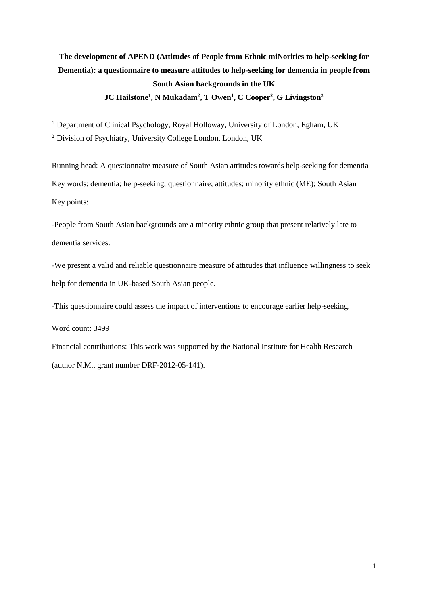# **The development of APEND (Attitudes of People from Ethnic miNorities to help-seeking for Dementia): a questionnaire to measure attitudes to help-seeking for dementia in people from South Asian backgrounds in the UK JC Hailstone<sup>1</sup> , N Mukadam<sup>2</sup> , T Owen<sup>1</sup> , C Cooper<sup>2</sup> , G Livingston<sup>2</sup>**

<sup>1</sup> Department of Clinical Psychology, Royal Holloway, University of London, Egham, UK <sup>2</sup> Division of Psychiatry, University College London, London, UK

Running head: A questionnaire measure of South Asian attitudes towards help-seeking for dementia Key words: dementia; help-seeking; questionnaire; attitudes; minority ethnic (ME); South Asian Key points:

-People from South Asian backgrounds are a minority ethnic group that present relatively late to dementia services.

-We present a valid and reliable questionnaire measure of attitudes that influence willingness to seek help for dementia in UK-based South Asian people.

-This questionnaire could assess the impact of interventions to encourage earlier help-seeking.

Word count: 3499

Financial contributions: This work was supported by the National Institute for Health Research (author N.M., grant number DRF-2012-05-141).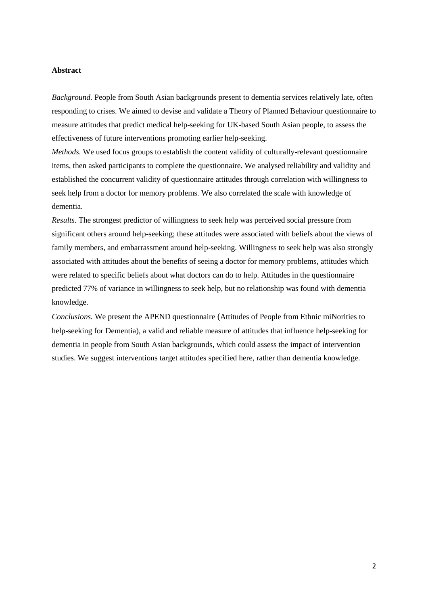#### **Abstract**

*Background.* People from South Asian backgrounds present to dementia services relatively late, often responding to crises. We aimed to devise and validate a Theory of Planned Behaviour questionnaire to measure attitudes that predict medical help-seeking for UK-based South Asian people, to assess the effectiveness of future interventions promoting earlier help-seeking.

*Methods.* We used focus groups to establish the content validity of culturally-relevant questionnaire items, then asked participants to complete the questionnaire. We analysed reliability and validity and established the concurrent validity of questionnaire attitudes through correlation with willingness to seek help from a doctor for memory problems. We also correlated the scale with knowledge of dementia.

*Results.* The strongest predictor of willingness to seek help was perceived social pressure from significant others around help-seeking; these attitudes were associated with beliefs about the views of family members, and embarrassment around help-seeking. Willingness to seek help was also strongly associated with attitudes about the benefits of seeing a doctor for memory problems, attitudes which were related to specific beliefs about what doctors can do to help. Attitudes in the questionnaire predicted 77% of variance in willingness to seek help, but no relationship was found with dementia knowledge.

*Conclusions.* We present the APEND questionnaire (Attitudes of People from Ethnic miNorities to help-seeking for Dementia), a valid and reliable measure of attitudes that influence help-seeking for dementia in people from South Asian backgrounds, which could assess the impact of intervention studies. We suggest interventions target attitudes specified here, rather than dementia knowledge.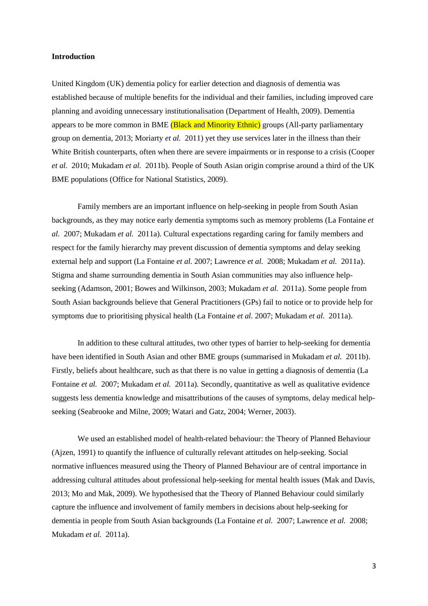#### **Introduction**

United Kingdom (UK) dementia policy for earlier detection and diagnosis of dementia was established because of multiple benefits for the individual and their families, including improved care planning and avoiding unnecessary institutionalisation (Department of Health, 2009). Dementia appears to be more common in BME (Black and Minority Ethnic) groups (All-party parliamentary group on dementia, 2013; Moriarty *et al.* 2011) yet they use services later in the illness than their White British counterparts, often when there are severe impairments or in response to a crisis (Cooper *et al.* 2010; Mukadam *et al.* 2011b). People of South Asian origin comprise around a third of the UK BME populations (Office for National Statistics, 2009).

Family members are an important influence on help-seeking in people from South Asian backgrounds, as they may notice early dementia symptoms such as memory problems (La Fontaine *et al.* 2007; Mukadam *et al.* 2011a). Cultural expectations regarding caring for family members and respect for the family hierarchy may prevent discussion of dementia symptoms and delay seeking external help and support (La Fontaine *et al.* 2007; Lawrence *et al.* 2008; Mukadam *et al.* 2011a). Stigma and shame surrounding dementia in South Asian communities may also influence helpseeking (Adamson, 2001; Bowes and Wilkinson, 2003; Mukadam *et al.* 2011a). Some people from South Asian backgrounds believe that General Practitioners (GPs) fail to notice or to provide help for symptoms due to prioritising physical health (La Fontaine *et al.* 2007; Mukadam *et al.* 2011a).

In addition to these cultural attitudes, two other types of barrier to help-seeking for dementia have been identified in South Asian and other BME groups (summarised in Mukadam *et al.* 2011b). Firstly, beliefs about healthcare, such as that there is no value in getting a diagnosis of dementia (La Fontaine *et al.* 2007; Mukadam *et al.* 2011a)*.* Secondly, quantitative as well as qualitative evidence suggests less dementia knowledge and misattributions of the causes of symptoms, delay medical helpseeking (Seabrooke and Milne, 2009; Watari and Gatz, 2004; Werner, 2003).

We used an established model of health-related behaviour: the Theory of Planned Behaviour (Ajzen, 1991) to quantify the influence of culturally relevant attitudes on help-seeking. Social normative influences measured using the Theory of Planned Behaviour are of central importance in addressing cultural attitudes about professional help-seeking for mental health issues (Mak and Davis, 2013; Mo and Mak, 2009). We hypothesised that the Theory of Planned Behaviour could similarly capture the influence and involvement of family members in decisions about help-seeking for dementia in people from South Asian backgrounds (La Fontaine *et al.* 2007; Lawrence *et al.* 2008; Mukadam *et al.* 2011a).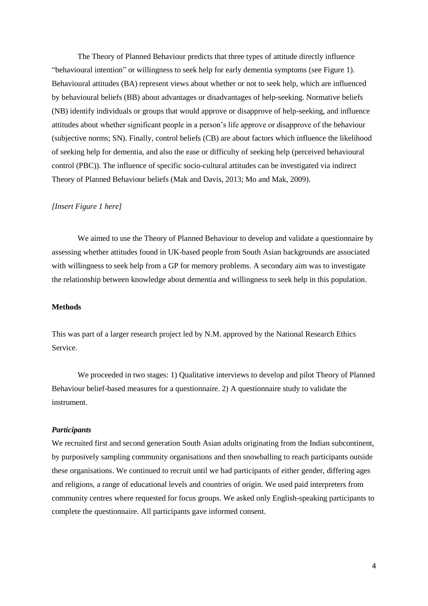The Theory of Planned Behaviour predicts that three types of attitude directly influence "behavioural intention" or willingness to seek help for early dementia symptoms (see Figure 1). Behavioural attitudes (BA) represent views about whether or not to seek help, which are influenced by behavioural beliefs (BB) about advantages or disadvantages of help-seeking. Normative beliefs (NB) identify individuals or groups that would approve or disapprove of help-seeking, and influence attitudes about whether significant people in a person's life approve or disapprove of the behaviour (subjective norms; SN). Finally, control beliefs (CB) are about factors which influence the likelihood of seeking help for dementia, and also the ease or difficulty of seeking help (perceived behavioural control (PBC)). The influence of specific socio-cultural attitudes can be investigated via indirect Theory of Planned Behaviour beliefs (Mak and Davis, 2013; Mo and Mak, 2009).

#### *[Insert Figure 1 here]*

We aimed to use the Theory of Planned Behaviour to develop and validate a questionnaire by assessing whether attitudes found in UK-based people from South Asian backgrounds are associated with willingness to seek help from a GP for memory problems. A secondary aim was to investigate the relationship between knowledge about dementia and willingness to seek help in this population.

#### **Methods**

This was part of a larger research project led by N.M. approved by the National Research Ethics Service.

We proceeded in two stages: 1) Qualitative interviews to develop and pilot Theory of Planned Behaviour belief-based measures for a questionnaire. 2) A questionnaire study to validate the instrument.

# *Participants*

We recruited first and second generation South Asian adults originating from the Indian subcontinent, by purposively sampling community organisations and then snowballing to reach participants outside these organisations. We continued to recruit until we had participants of either gender, differing ages and religions, a range of educational levels and countries of origin. We used paid interpreters from community centres where requested for focus groups. We asked only English-speaking participants to complete the questionnaire. All participants gave informed consent.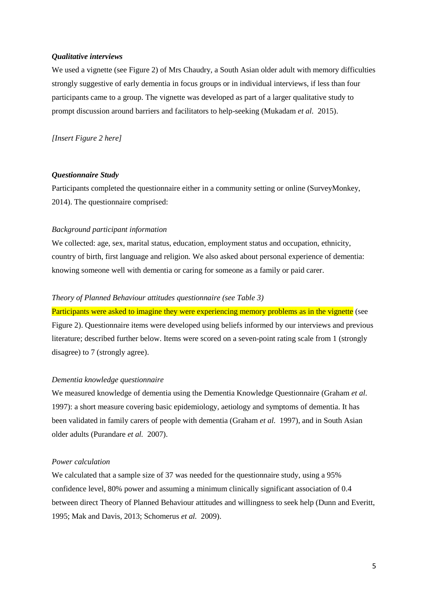#### *Qualitative interviews*

We used a vignette (see Figure 2) of Mrs Chaudry, a South Asian older adult with memory difficulties strongly suggestive of early dementia in focus groups or in individual interviews, if less than four participants came to a group. The vignette was developed as part of a larger qualitative study to prompt discussion around barriers and facilitators to help-seeking (Mukadam *et al.* 2015).

*[Insert Figure 2 here]*

# *Questionnaire Study*

Participants completed the questionnaire either in a community setting or online (SurveyMonkey, 2014). The questionnaire comprised:

### *Background participant information*

We collected: age, sex, marital status, education, employment status and occupation, ethnicity, country of birth, first language and religion. We also asked about personal experience of dementia: knowing someone well with dementia or caring for someone as a family or paid carer.

# *Theory of Planned Behaviour attitudes questionnaire (see Table 3)*

Participants were asked to imagine they were experiencing memory problems as in the vignette (see Figure 2). Questionnaire items were developed using beliefs informed by our interviews and previous literature; described further below. Items were scored on a seven-point rating scale from 1 (strongly disagree) to 7 (strongly agree).

### *Dementia knowledge questionnaire*

We measured knowledge of dementia using the Dementia Knowledge Questionnaire (Graham *et al.*  1997): a short measure covering basic epidemiology, aetiology and symptoms of dementia. It has been validated in family carers of people with dementia (Graham *et al.* 1997), and in South Asian older adults (Purandare *et al.* 2007).

# *Power calculation*

We calculated that a sample size of 37 was needed for the questionnaire study, using a 95% confidence level, 80% power and assuming a minimum clinically significant association of 0.4 between direct Theory of Planned Behaviour attitudes and willingness to seek help (Dunn and Everitt, 1995; Mak and Davis, 2013; Schomerus *et al.* 2009).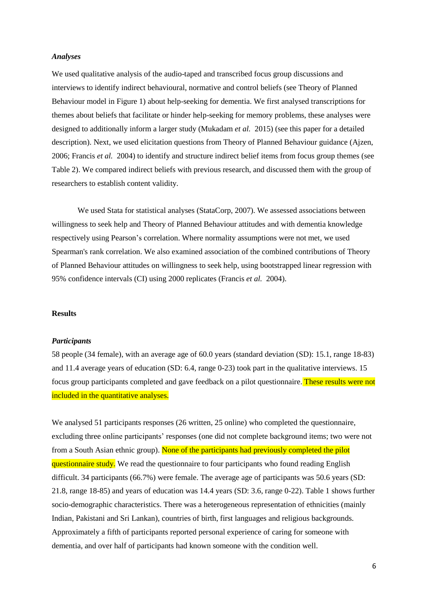#### *Analyses*

We used qualitative analysis of the audio-taped and transcribed focus group discussions and interviews to identify indirect behavioural, normative and control beliefs (see Theory of Planned Behaviour model in Figure 1) about help-seeking for dementia. We first analysed transcriptions for themes about beliefs that facilitate or hinder help-seeking for memory problems, these analyses were designed to additionally inform a larger study (Mukadam *et al.* 2015) (see this paper for a detailed description). Next, we used elicitation questions from Theory of Planned Behaviour guidance (Ajzen, 2006; Francis *et al.* 2004) to identify and structure indirect belief items from focus group themes (see Table 2). We compared indirect beliefs with previous research, and discussed them with the group of researchers to establish content validity.

We used Stata for statistical analyses (StataCorp, 2007). We assessed associations between willingness to seek help and Theory of Planned Behaviour attitudes and with dementia knowledge respectively using Pearson's correlation. Where normality assumptions were not met, we used Spearman's rank correlation. We also examined association of the combined contributions of Theory of Planned Behaviour attitudes on willingness to seek help, using bootstrapped linear regression with 95% confidence intervals (CI) using 2000 replicates (Francis *et al.* 2004).

# **Results**

#### *Participants*

58 people (34 female), with an average age of 60.0 years (standard deviation (SD): 15.1, range 18-83) and 11.4 average years of education (SD: 6.4, range 0-23) took part in the qualitative interviews. 15 focus group participants completed and gave feedback on a pilot questionnaire. These results were not included in the quantitative analyses.

We analysed 51 participants responses (26 written, 25 online) who completed the questionnaire, excluding three online participants' responses (one did not complete background items; two were not from a South Asian ethnic group). None of the participants had previously completed the pilot questionnaire study. We read the questionnaire to four participants who found reading English difficult. 34 participants (66.7%) were female. The average age of participants was 50.6 years (SD: 21.8, range 18-85) and years of education was 14.4 years (SD: 3.6, range 0-22). Table 1 shows further socio-demographic characteristics. There was a heterogeneous representation of ethnicities (mainly Indian, Pakistani and Sri Lankan), countries of birth, first languages and religious backgrounds. Approximately a fifth of participants reported personal experience of caring for someone with dementia, and over half of participants had known someone with the condition well.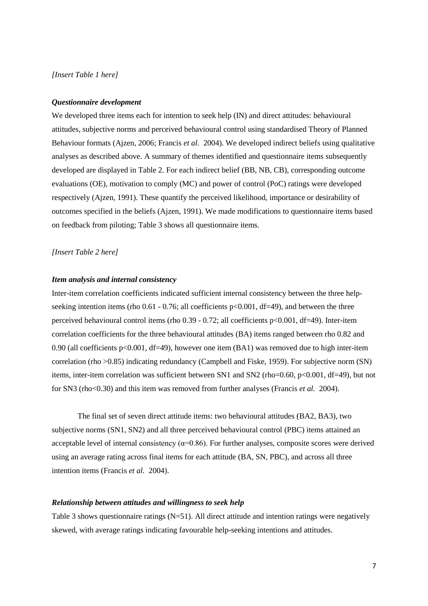### *[Insert Table 1 here]*

#### *Questionnaire development*

We developed three items each for intention to seek help (IN) and direct attitudes: behavioural attitudes, subjective norms and perceived behavioural control using standardised Theory of Planned Behaviour formats (Ajzen, 2006; Francis *et al.* 2004). We developed indirect beliefs using qualitative analyses as described above. A summary of themes identified and questionnaire items subsequently developed are displayed in Table 2. For each indirect belief (BB, NB, CB), corresponding outcome evaluations (OE), motivation to comply (MC) and power of control (PoC) ratings were developed respectively (Ajzen, 1991). These quantify the perceived likelihood, importance or desirability of outcomes specified in the beliefs (Ajzen, 1991). We made modifications to questionnaire items based on feedback from piloting; Table 3 shows all questionnaire items.

#### *[Insert Table 2 here]*

# *Item analysis and internal consistency*

Inter-item correlation coefficients indicated sufficient internal consistency between the three helpseeking intention items (rho  $0.61 - 0.76$ ; all coefficients  $p < 0.001$ , df=49), and between the three perceived behavioural control items (rho  $0.39 - 0.72$ ; all coefficients p<0.001, df=49). Inter-item correlation coefficients for the three behavioural attitudes (BA) items ranged between rho 0.82 and 0.90 (all coefficients p<0.001, df=49), however one item (BA1) was removed due to high inter-item correlation (rho >0.85) indicating redundancy (Campbell and Fiske, 1959). For subjective norm (SN) items, inter-item correlation was sufficient between SN1 and SN2 (rho=0.60, p<0.001, df=49), but not for SN3 (rho<0.30) and this item was removed from further analyses (Francis *et al.* 2004).

The final set of seven direct attitude items: two behavioural attitudes (BA2, BA3), two subjective norms (SN1, SN2) and all three perceived behavioural control (PBC) items attained an acceptable level of internal consistency  $(\alpha=0.86)$ . For further analyses, composite scores were derived using an average rating across final items for each attitude (BA, SN, PBC), and across all three intention items (Francis *et al.* 2004).

# *Relationship between attitudes and willingness to seek help*

Table 3 shows questionnaire ratings (N=51). All direct attitude and intention ratings were negatively skewed, with average ratings indicating favourable help-seeking intentions and attitudes.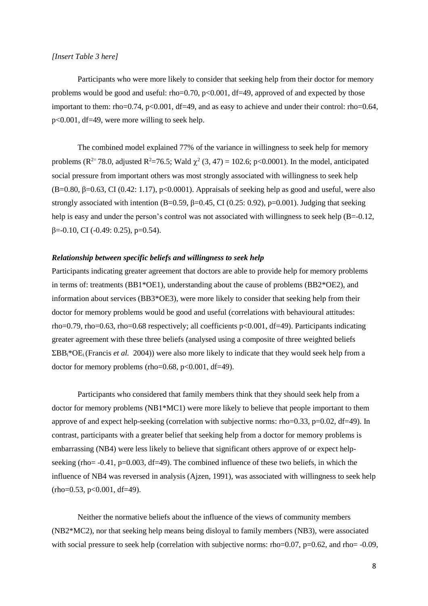### *[Insert Table 3 here]*

Participants who were more likely to consider that seeking help from their doctor for memory problems would be good and useful: rho=0.70,  $p<0.001$ , df=49, approved of and expected by those important to them: rho=0.74, p<0.001, df=49, and as easy to achieve and under their control: rho=0.64, p<0.001, df=49, were more willing to seek help.

The combined model explained 77% of the variance in willingness to seek help for memory problems ( $\mathbb{R}^{2}$ = 78.0, adjusted  $\mathbb{R}^{2}$ = 76.5; Wald  $\chi^2$  (3, 47) = 102.6; p<0.0001). In the model, anticipated social pressure from important others was most strongly associated with willingness to seek help (B=0.80, β=0.63, CI (0.42: 1.17), p<0.0001). Appraisals of seeking help as good and useful, were also strongly associated with intention (B=0.59,  $\beta$ =0.45, CI (0.25: 0.92), p=0.001). Judging that seeking help is easy and under the person's control was not associated with willingness to seek help (B=-0.12,  $β=0.10$ , CI ( $-0.49$ : 0.25), p=0.54).

# *Relationship between specific beliefs and willingness to seek help*

Participants indicating greater agreement that doctors are able to provide help for memory problems in terms of: treatments (BB1\*OE1), understanding about the cause of problems (BB2\*OE2), and information about services (BB3\*OE3), were more likely to consider that seeking help from their doctor for memory problems would be good and useful (correlations with behavioural attitudes: rho=0.79, rho=0.63, rho=0.68 respectively; all coefficients p<0.001, df=49). Participants indicating greater agreement with these three beliefs (analysed using a composite of three weighted beliefs  $\Sigma$ BB<sub>i</sub>\*OE<sub>i</sub> (Francis *et al.* 2004)) were also more likely to indicate that they would seek help from a doctor for memory problems (rho=0.68,  $p<0.001$ , df=49).

Participants who considered that family members think that they should seek help from a doctor for memory problems (NB1<sup>\*</sup>MC1) were more likely to believe that people important to them approve of and expect help-seeking (correlation with subjective norms: rho=0.33, p=0.02, df=49). In contrast, participants with a greater belief that seeking help from a doctor for memory problems is embarrassing (NB4) were less likely to believe that significant others approve of or expect helpseeking (rho=  $-0.41$ , p=0.003, df=49). The combined influence of these two beliefs, in which the influence of NB4 was reversed in analysis (Ajzen, 1991), was associated with willingness to seek help  $(rho=0.53, p<0.001, df=49).$ 

Neither the normative beliefs about the influence of the views of community members (NB2\*MC2), nor that seeking help means being disloyal to family members (NB3), were associated with social pressure to seek help (correlation with subjective norms: rho=0.07, p=0.62, and rho= -0.09,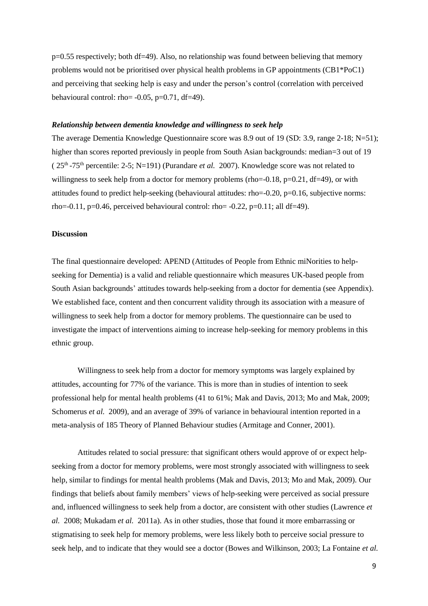p=0.55 respectively; both df=49). Also, no relationship was found between believing that memory problems would not be prioritised over physical health problems in GP appointments (CB1\*PoC1) and perceiving that seeking help is easy and under the person's control (correlation with perceived behavioural control: rho=  $-0.05$ , p= $0.71$ , df=49).

#### *Relationship between dementia knowledge and willingness to seek help*

The average Dementia Knowledge Questionnaire score was 8.9 out of 19 (SD: 3.9, range 2-18; N=51); higher than scores reported previously in people from South Asian backgrounds: median=3 out of 19 (  $25<sup>th</sup>$ -75<sup>th</sup> percentile: 2-5; N=191) (Purandare *et al.* 2007). Knowledge score was not related to willingness to seek help from a doctor for memory problems (rho= $-0.18$ , p= $0.21$ , df=49), or with attitudes found to predict help-seeking (behavioural attitudes: rho=-0.20, p=0.16, subjective norms: rho= $-0.11$ , p= $0.46$ , perceived behavioural control: rho= $-0.22$ , p= $0.11$ ; all df=49).

# **Discussion**

The final questionnaire developed: APEND (Attitudes of People from Ethnic miNorities to helpseeking for Dementia) is a valid and reliable questionnaire which measures UK-based people from South Asian backgrounds' attitudes towards help-seeking from a doctor for dementia (see Appendix). We established face, content and then concurrent validity through its association with a measure of willingness to seek help from a doctor for memory problems. The questionnaire can be used to investigate the impact of interventions aiming to increase help-seeking for memory problems in this ethnic group.

Willingness to seek help from a doctor for memory symptoms was largely explained by attitudes, accounting for 77% of the variance. This is more than in studies of intention to seek professional help for mental health problems (41 to 61%; Mak and Davis, 2013; Mo and Mak, 2009; Schomerus *et al.* 2009), and an average of 39% of variance in behavioural intention reported in a meta-analysis of 185 Theory of Planned Behaviour studies (Armitage and Conner, 2001).

Attitudes related to social pressure: that significant others would approve of or expect helpseeking from a doctor for memory problems, were most strongly associated with willingness to seek help, similar to findings for mental health problems (Mak and Davis, 2013; Mo and Mak, 2009). Our findings that beliefs about family members' views of help-seeking were perceived as social pressure and, influenced willingness to seek help from a doctor, are consistent with other studies (Lawrence *et al.* 2008; Mukadam *et al.* 2011a). As in other studies, those that found it more embarrassing or stigmatising to seek help for memory problems, were less likely both to perceive social pressure to seek help, and to indicate that they would see a doctor (Bowes and Wilkinson, 2003; La Fontaine *et al.*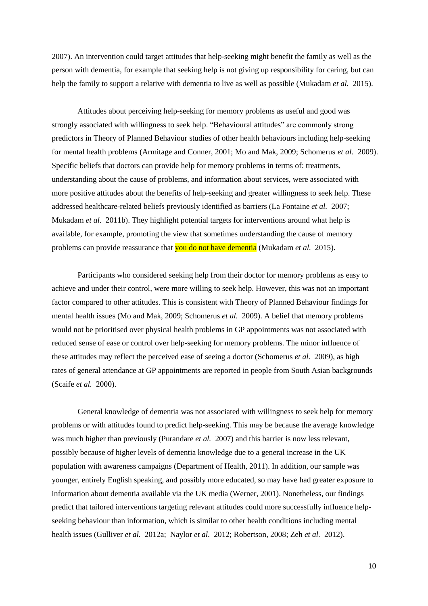2007). An intervention could target attitudes that help-seeking might benefit the family as well as the person with dementia, for example that seeking help is not giving up responsibility for caring, but can help the family to support a relative with dementia to live as well as possible (Mukadam *et al.* 2015).

Attitudes about perceiving help-seeking for memory problems as useful and good was strongly associated with willingness to seek help. "Behavioural attitudes" are commonly strong predictors in Theory of Planned Behaviour studies of other health behaviours including help-seeking for mental health problems (Armitage and Conner, 2001; Mo and Mak, 2009; Schomerus *et al.* 2009). Specific beliefs that doctors can provide help for memory problems in terms of: treatments, understanding about the cause of problems, and information about services, were associated with more positive attitudes about the benefits of help-seeking and greater willingness to seek help. These addressed healthcare-related beliefs previously identified as barriers (La Fontaine *et al.* 2007; Mukadam *et al.* 2011b). They highlight potential targets for interventions around what help is available, for example, promoting the view that sometimes understanding the cause of memory problems can provide reassurance that you do not have dementia (Mukadam *et al.* 2015).

Participants who considered seeking help from their doctor for memory problems as easy to achieve and under their control, were more willing to seek help. However, this was not an important factor compared to other attitudes. This is consistent with Theory of Planned Behaviour findings for mental health issues (Mo and Mak, 2009; Schomerus *et al.* 2009). A belief that memory problems would not be prioritised over physical health problems in GP appointments was not associated with reduced sense of ease or control over help-seeking for memory problems. The minor influence of these attitudes may reflect the perceived ease of seeing a doctor (Schomerus *et al.* 2009), as high rates of general attendance at GP appointments are reported in people from South Asian backgrounds (Scaife *et al.* 2000).

General knowledge of dementia was not associated with willingness to seek help for memory problems or with attitudes found to predict help-seeking. This may be because the average knowledge was much higher than previously (Purandare *et al.* 2007) and this barrier is now less relevant, possibly because of higher levels of dementia knowledge due to a general increase in the UK population with awareness campaigns (Department of Health, 2011). In addition, our sample was younger, entirely English speaking, and possibly more educated, so may have had greater exposure to information about dementia available via the UK media (Werner, 2001). Nonetheless, our findings predict that tailored interventions targeting relevant attitudes could more successfully influence helpseeking behaviour than information, which is similar to other health conditions including mental health issues (Gulliver *et al.* 2012a; Naylor *et al.* 2012; Robertson, 2008; Zeh *et al.* 2012).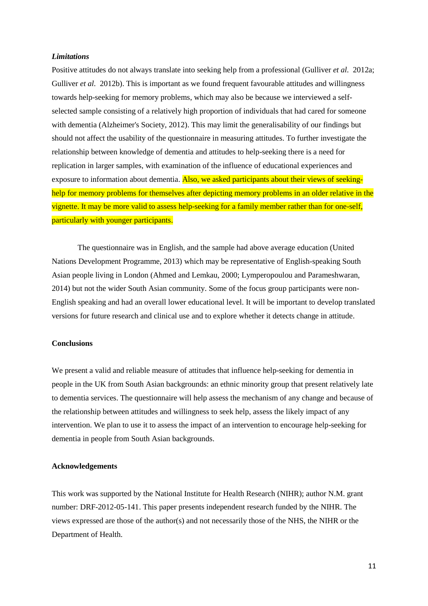#### *Limitations*

Positive attitudes do not always translate into seeking help from a professional (Gulliver *et al.* 2012a; Gulliver *et al.* 2012b). This is important as we found frequent favourable attitudes and willingness towards help-seeking for memory problems, which may also be because we interviewed a selfselected sample consisting of a relatively high proportion of individuals that had cared for someone with dementia (Alzheimer's Society, 2012). This may limit the generalisability of our findings but should not affect the usability of the questionnaire in measuring attitudes. To further investigate the relationship between knowledge of dementia and attitudes to help-seeking there is a need for replication in larger samples, with examination of the influence of educational experiences and exposure to information about dementia. Also, we asked participants about their views of seekinghelp for memory problems for themselves after depicting memory problems in an older relative in the vignette. It may be more valid to assess help-seeking for a family member rather than for one-self, particularly with younger participants.

The questionnaire was in English, and the sample had above average education (United Nations Development Programme, 2013) which may be representative of English-speaking South Asian people living in London (Ahmed and Lemkau, 2000; Lymperopoulou and Parameshwaran, 2014) but not the wider South Asian community. Some of the focus group participants were non-English speaking and had an overall lower educational level. It will be important to develop translated versions for future research and clinical use and to explore whether it detects change in attitude.

# **Conclusions**

We present a valid and reliable measure of attitudes that influence help-seeking for dementia in people in the UK from South Asian backgrounds: an ethnic minority group that present relatively late to dementia services. The questionnaire will help assess the mechanism of any change and because of the relationship between attitudes and willingness to seek help, assess the likely impact of any intervention. We plan to use it to assess the impact of an intervention to encourage help-seeking for dementia in people from South Asian backgrounds.

#### **Acknowledgements**

This work was supported by the National Institute for Health Research (NIHR); author N.M. grant number: DRF-2012-05-141. This paper presents independent research funded by the NIHR. The views expressed are those of the author(s) and not necessarily those of the NHS, the NIHR or the Department of Health.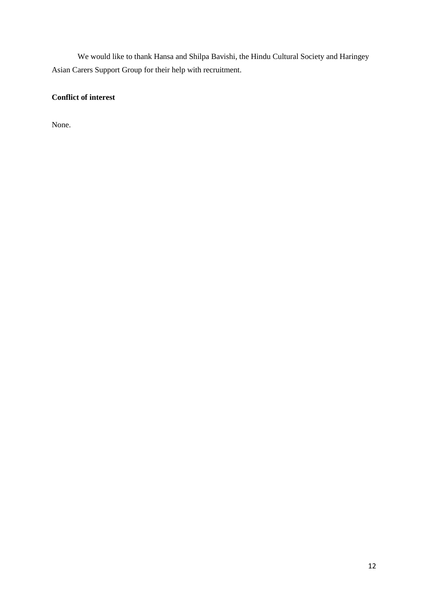We would like to thank Hansa and Shilpa Bavishi, the Hindu Cultural Society and Haringey Asian Carers Support Group for their help with recruitment.

# **Conflict of interest**

None.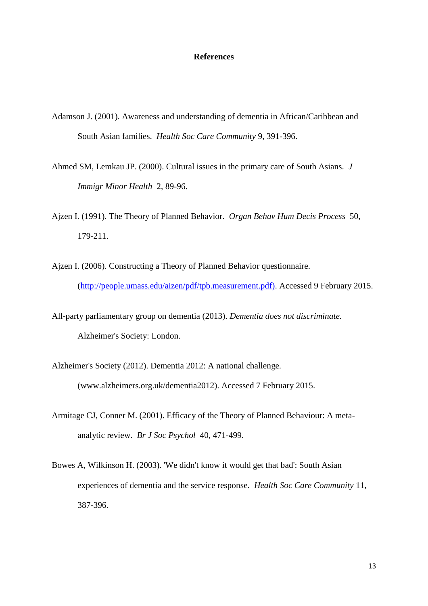# **References**

- Adamson J. (2001). Awareness and understanding of dementia in African/Caribbean and South Asian families. *Health Soc Care Community* 9, 391-396.
- Ahmed SM, Lemkau JP. (2000). Cultural issues in the primary care of South Asians. *J Immigr Minor Health* 2, 89-96.
- Ajzen I. (1991). The Theory of Planned Behavior. *Organ Behav Hum Decis Process* 50, 179-211.
- Ajzen I. (2006). Constructing a Theory of Planned Behavior questionnaire*.* [\(http://people.umass.edu/aizen/pdf/tpb.measurement.pdf\).](http://people.umass.edu/aizen/pdf/tpb.measurement.pdf)) Accessed 9 February 2015.
- All-party parliamentary group on dementia (2013). *Dementia does not discriminate.* Alzheimer's Society: London.
- Alzheimer's Society (2012). Dementia 2012: A national challenge*.*  (www.alzheimers.org.uk/dementia2012). Accessed 7 February 2015.
- Armitage CJ, Conner M. (2001). Efficacy of the Theory of Planned Behaviour: A metaanalytic review. *Br J Soc Psychol* 40, 471-499.
- Bowes A, Wilkinson H. (2003). 'We didn't know it would get that bad': South Asian experiences of dementia and the service response. *Health Soc Care Community* 11, 387-396.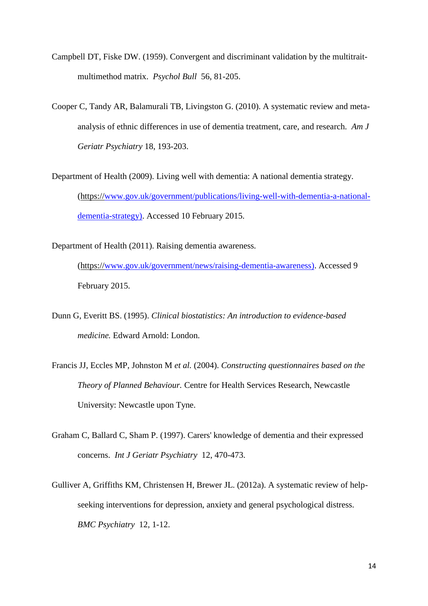- Campbell DT, Fiske DW. (1959). Convergent and discriminant validation by the multitraitmultimethod matrix. *Psychol Bull* 56, 81-205.
- Cooper C, Tandy AR, Balamurali TB, Livingston G. (2010). A systematic review and metaanalysis of ethnic differences in use of dementia treatment, care, and research. *Am J Geriatr Psychiatry* 18, 193-203.
- Department of Health (2009). Living well with dementia: A national dementia strategy*.* (https:/[/www.gov.uk/government/publications/living-well-with-dementia-a-national](http://www.gov.uk/government/publications/living-well-with-dementia-a-national-dementia-strategy))[dementia-strategy\).](http://www.gov.uk/government/publications/living-well-with-dementia-a-national-dementia-strategy)) Accessed 10 February 2015.

Department of Health (2011). Raising dementia awareness*.*

(https:/[/www.gov.uk/government/news/raising-dementia-awareness\).](http://www.gov.uk/government/news/raising-dementia-awareness)) Accessed 9 February 2015.

- Dunn G, Everitt BS. (1995). *Clinical biostatistics: An introduction to evidence-based medicine.* Edward Arnold: London.
- Francis JJ, Eccles MP, Johnston M *et al.* (2004). *Constructing questionnaires based on the Theory of Planned Behaviour.* Centre for Health Services Research, Newcastle University: Newcastle upon Tyne.
- Graham C, Ballard C, Sham P. (1997). Carers' knowledge of dementia and their expressed concerns. *Int J Geriatr Psychiatry* 12, 470-473.
- Gulliver A, Griffiths KM, Christensen H, Brewer JL. (2012a). A systematic review of helpseeking interventions for depression, anxiety and general psychological distress. *BMC Psychiatry* 12, 1-12.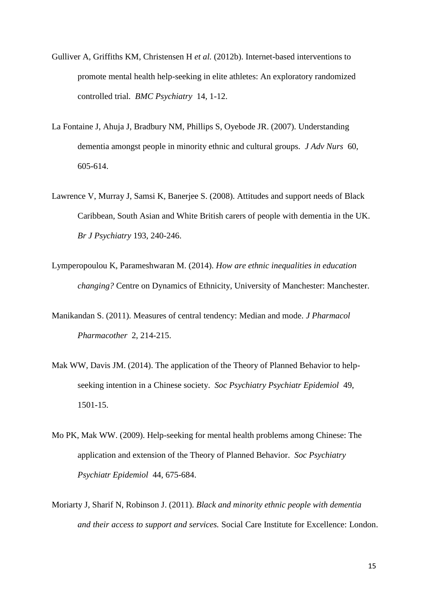- Gulliver A, Griffiths KM, Christensen H *et al.* (2012b). Internet-based interventions to promote mental health help-seeking in elite athletes: An exploratory randomized controlled trial. *BMC Psychiatry* 14, 1-12.
- La Fontaine J, Ahuja J, Bradbury NM, Phillips S, Oyebode JR. (2007). Understanding dementia amongst people in minority ethnic and cultural groups. *J Adv Nurs* 60, 605-614.
- Lawrence V, Murray J, Samsi K, Banerjee S. (2008). Attitudes and support needs of Black Caribbean, South Asian and White British carers of people with dementia in the UK. *Br J Psychiatry* 193, 240-246.
- Lymperopoulou K, Parameshwaran M. (2014). *How are ethnic inequalities in education changing?* Centre on Dynamics of Ethnicity, University of Manchester: Manchester.
- Manikandan S. (2011). Measures of central tendency: Median and mode. *J Pharmacol Pharmacother* 2, 214-215.
- Mak WW, Davis JM. (2014). The application of the Theory of Planned Behavior to helpseeking intention in a Chinese society. *Soc Psychiatry Psychiatr Epidemiol* 49, 1501-15.
- Mo PK, Mak WW. (2009). Help-seeking for mental health problems among Chinese: The application and extension of the Theory of Planned Behavior. *Soc Psychiatry Psychiatr Epidemiol* 44, 675-684.
- Moriarty J, Sharif N, Robinson J. (2011). *Black and minority ethnic people with dementia and their access to support and services.* Social Care Institute for Excellence: London.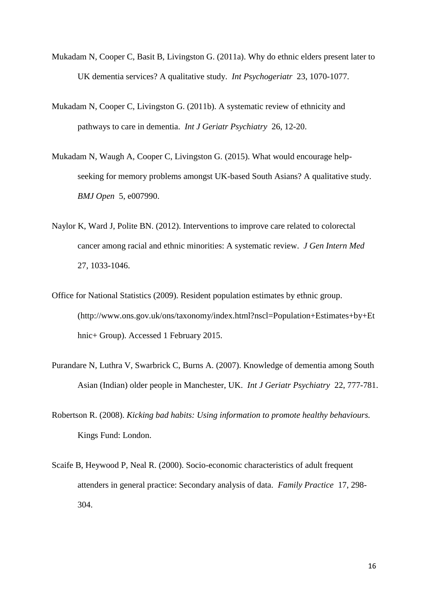- Mukadam N, Cooper C, Basit B, Livingston G. (2011a). Why do ethnic elders present later to UK dementia services? A qualitative study. *Int Psychogeriatr* 23, 1070-1077.
- Mukadam N, Cooper C, Livingston G. (2011b). A systematic review of ethnicity and pathways to care in dementia. *Int J Geriatr Psychiatry* 26, 12-20.
- Mukadam N, Waugh A, Cooper C, Livingston G. (2015). What would encourage helpseeking for memory problems amongst UK-based South Asians? A qualitative study. *BMJ Open* 5, e007990.
- Naylor K, Ward J, Polite BN. (2012). Interventions to improve care related to colorectal cancer among racial and ethnic minorities: A systematic review. *J Gen Intern Med* 27, 1033-1046.
- Office for National Statistics (2009). Resident population estimates by ethnic group. (http://www.ons.gov.uk/ons/taxonomy/index.html?nscl=Population+Estimates+by+Et hnic+ Group). Accessed 1 February 2015.
- Purandare N, Luthra V, Swarbrick C, Burns A. (2007). Knowledge of dementia among South Asian (Indian) older people in Manchester, UK. *Int J Geriatr Psychiatry* 22, 777-781.
- Robertson R. (2008). *Kicking bad habits: Using information to promote healthy behaviours.* Kings Fund: London.
- Scaife B, Heywood P, Neal R. (2000). Socio-economic characteristics of adult frequent attenders in general practice: Secondary analysis of data. *Family Practice* 17, 298- 304.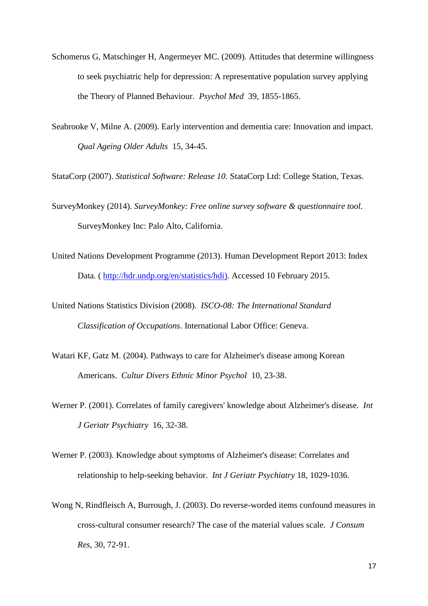- Schomerus G, Matschinger H, Angermeyer MC. (2009). Attitudes that determine willingness to seek psychiatric help for depression: A representative population survey applying the Theory of Planned Behaviour. *Psychol Med* 39, 1855-1865.
- Seabrooke V, Milne A. (2009). Early intervention and dementia care: Innovation and impact. *Qual Ageing Older Adults* 15, 34-45.

StataCorp (2007). *Statistical Software: Release 10.* StataCorp Ltd: College Station, Texas.

- SurveyMonkey (2014). *SurveyMonkey: Free online survey software & questionnaire tool.* SurveyMonkey Inc: Palo Alto, California.
- United Nations Development Programme (2013). Human Development Report 2013: Index Data*.* ( [http://hdr.undp.org/en/statistics/hdi\).](http://hdr.undp.org/en/statistics/hdi)) Accessed 10 February 2015.
- United Nations Statistics Division (2008). *ISCO-08: The International Standard Classification of Occupations*. International Labor Office: Geneva.
- Watari KF, Gatz M. (2004). Pathways to care for Alzheimer's disease among Korean Americans. *Cultur Divers Ethnic Minor Psychol* 10, 23-38.
- Werner P. (2001). Correlates of family caregivers' knowledge about Alzheimer's disease. *Int J Geriatr Psychiatry* 16, 32-38.
- Werner P. (2003). Knowledge about symptoms of Alzheimer's disease: Correlates and relationship to help-seeking behavior. *Int J Geriatr Psychiatry* 18, 1029-1036.
- Wong N, Rindfleisch A, Burrough, J. (2003). Do reverse-worded items confound measures in cross-cultural consumer research? The case of the material values scale. *J Consum Res*, 30, 72-91.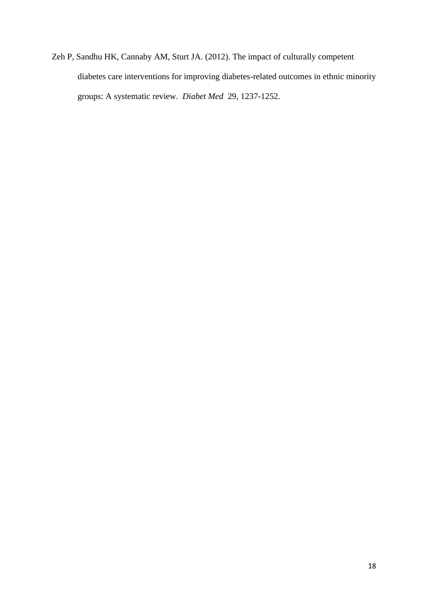Zeh P, Sandhu HK, Cannaby AM, Sturt JA. (2012). The impact of culturally competent diabetes care interventions for improving diabetes-related outcomes in ethnic minority groups: A systematic review. *Diabet Med* 29, 1237-1252.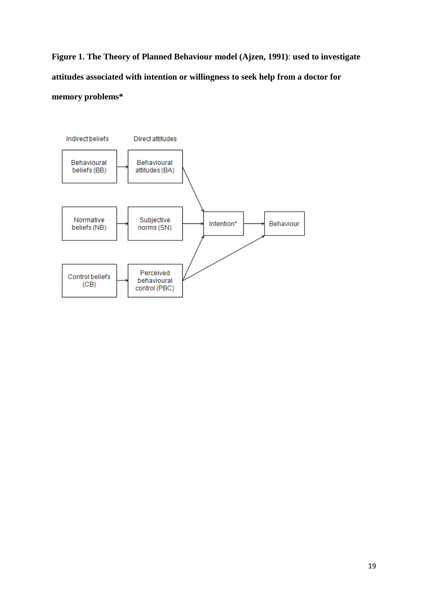**Figure 1. The Theory of Planned Behaviour model (Ajzen, 1991)**: **used to investigate attitudes associated with intention or willingness to seek help from a doctor for memory problems\***

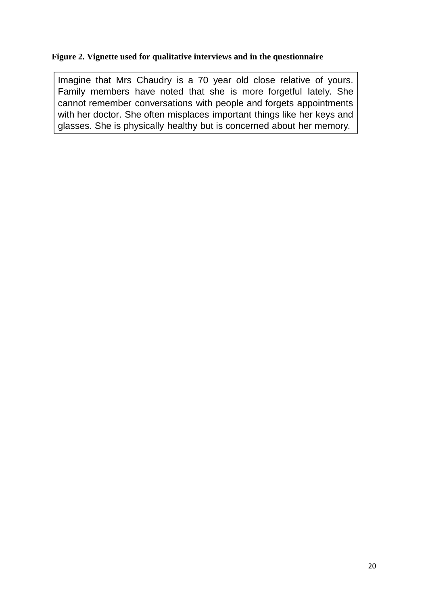# **Figure 2. Vignette used for qualitative interviews and in the questionnaire**

Imagine that Mrs Chaudry is a 70 year old close relative of yours. Family members have noted that she is more forgetful lately. She cannot remember conversations with people and forgets appointments with her doctor. She often misplaces important things like her keys and glasses. She is physically healthy but is concerned about her memory.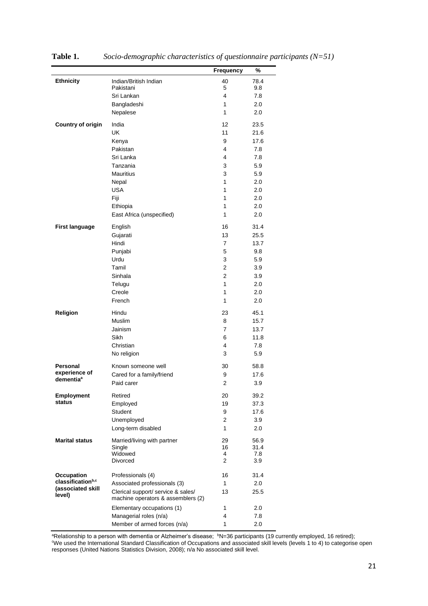|                               |                                    | Frequency      | %    |
|-------------------------------|------------------------------------|----------------|------|
| <b>Ethnicity</b>              | Indian/British Indian              | 40             | 78.4 |
|                               | Pakistani                          | 5              | 9.8  |
|                               | Sri Lankan                         | 4              | 7.8  |
|                               | Bangladeshi                        | 1              | 2.0  |
|                               | Nepalese                           | 1              | 2.0  |
| <b>Country of origin</b>      | India                              | 12             | 23.5 |
|                               | UK                                 | 11             | 21.6 |
|                               | Kenya                              | 9              | 17.6 |
|                               | Pakistan                           | 4              | 7.8  |
|                               | Sri Lanka                          | 4              | 7.8  |
|                               | Tanzania                           | 3              | 5.9  |
|                               | <b>Mauritius</b>                   | 3              | 5.9  |
|                               | Nepal                              | 1              | 2.0  |
|                               | <b>USA</b>                         | 1              | 2.0  |
|                               | Fiji                               | 1              | 2.0  |
|                               | Ethiopia                           | 1              | 2.0  |
|                               | East Africa (unspecified)          | 1              | 2.0  |
| <b>First language</b>         | English                            | 16             | 31.4 |
|                               | Gujarati                           | 13             | 25.5 |
|                               | Hindi                              | $\overline{7}$ | 13.7 |
|                               | Punjabi                            | 5              | 9.8  |
|                               | Urdu                               | 3              | 5.9  |
|                               | Tamil                              | 2              | 3.9  |
|                               | Sinhala                            | $\overline{2}$ | 3.9  |
|                               | Telugu                             | 1              | 2.0  |
|                               | Creole                             | 1              | 2.0  |
|                               | French                             | 1              | 2.0  |
| Religion                      | Hindu                              | 23             | 45.1 |
|                               | <b>Muslim</b>                      | 8              | 15.7 |
|                               | Jainism                            | 7              | 13.7 |
|                               | Sikh                               | 6              | 11.8 |
|                               | Christian                          | 4              | 7.8  |
|                               | No religion                        | 3              | 5.9  |
| Personal                      | Known someone well                 | 30             | 58.8 |
| experience of                 | Cared for a family/friend          | 9              | 17.6 |
| dementia <sup>a</sup>         | Paid carer                         | 2              | 3.9  |
| <b>Employment</b>             | Retired                            | 20             | 39.2 |
| status                        | Employed                           | 19             | 37.3 |
|                               | Student                            | 9              | 17.6 |
|                               | Unemployed                         | $\overline{2}$ | 3.9  |
|                               | Long-term disabled                 | 1              | 2.0  |
| <b>Marital status</b>         | Married/living with partner        | 29             | 56.9 |
|                               | Single                             | 16             | 31.4 |
|                               | Widowed                            | 4              | 7.8  |
|                               | <b>Divorced</b>                    | 2              | 3.9  |
| Occupation                    | Professionals (4)                  | 16             | 31.4 |
| classification <sup>b,c</sup> | Associated professionals (3)       | 1              | 2.0  |
| (associated skill<br>level)   | Clerical support/ service & sales/ | 13             | 25.5 |
|                               | machine operators & assemblers (2) |                |      |
|                               | Elementary occupations (1)         | 1              | 2.0  |
|                               | Managerial roles (n/a)             | 4              | 7.8  |
|                               | Member of armed forces (n/a)       | 1              | 2.0  |

**Table 1.** *Socio-demographic characteristics of questionnaire participants (N=51)*

<sup>a</sup>Relationship to a person with dementia or Alzheimer's disease; <sup>b</sup>N=36 participants (19 currently employed, 16 retired); <sup>c</sup>We used the International Standard Classification of Occupations and associated skill levels (levels 1 to 4) to categorise open

responses (United Nations Statistics Division, 2008); n/a No associated skill level.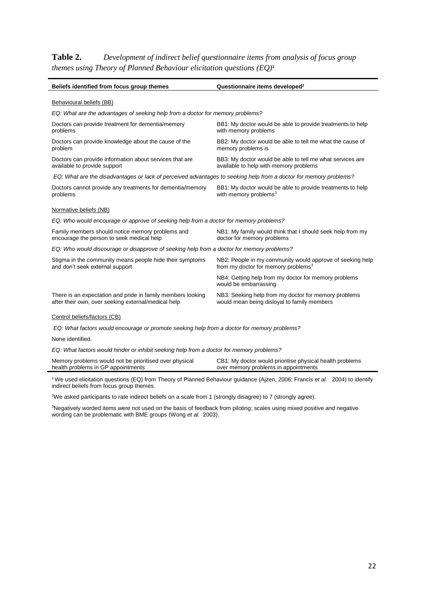**Table 2.** *Development of indirect belief questionnaire items from analysis of focus group themes using Theory of Planned Behaviour elicitation questions (EQ)***<sup>1</sup>**

l,

| Beliefs identified from focus group themes                                                                                                                                                | Questionnaire items developed <sup>2</sup>                                                                   |  |  |  |
|-------------------------------------------------------------------------------------------------------------------------------------------------------------------------------------------|--------------------------------------------------------------------------------------------------------------|--|--|--|
| Behavioural beliefs (BB)                                                                                                                                                                  |                                                                                                              |  |  |  |
| EQ: What are the advantages of seeking help from a doctor for memory problems?                                                                                                            |                                                                                                              |  |  |  |
| Doctors can provide treatment for dementia/memory<br>problems                                                                                                                             | BB1: My doctor would be able to provide treatments to help<br>with memory problems                           |  |  |  |
| Doctors can provide knowledge about the cause of the<br>problem                                                                                                                           | BB2: My doctor would be able to tell me what the cause of<br>memory problems is                              |  |  |  |
| Doctors can provide information about services that are<br>available to provide support                                                                                                   | BB3: My doctor would be able to tell me what services are<br>available to help with memory problems          |  |  |  |
| EQ: What are the disadvantages or lack of perceived advantages to seeking help from a doctor for memory problems?                                                                         |                                                                                                              |  |  |  |
| Doctors cannot provide any treatments for dementia/memory<br>problems                                                                                                                     | BB1: My doctor would be able to provide treatments to help<br>with memory problems <sup>3</sup>              |  |  |  |
| Normative beliefs (NB)                                                                                                                                                                    |                                                                                                              |  |  |  |
| EQ: Who would encourage or approve of seeking help from a doctor for memory problems?                                                                                                     |                                                                                                              |  |  |  |
| Family members should notice memory problems and<br>NB1: My family would think that I should seek help from my<br>encourage the person to seek medical help<br>doctor for memory problems |                                                                                                              |  |  |  |
| EQ: Who would discourage or disapprove of seeking help from a doctor for memory problems?                                                                                                 |                                                                                                              |  |  |  |
| Stigma in the community means people hide their symptoms<br>and don't seek external support                                                                                               | NB2: People in my community would approve of seeking help<br>from my doctor for memory problems <sup>3</sup> |  |  |  |
|                                                                                                                                                                                           | NB4: Getting help from my doctor for memory problems<br>would be embarrassing                                |  |  |  |
| There is an expectation and pride in family members looking<br>after their own, over seeking external/medical help                                                                        | NB3: Seeking help from my doctor for memory problems<br>would mean being disloyal to family members          |  |  |  |
| Control beliefs/factors (CB)                                                                                                                                                              |                                                                                                              |  |  |  |
| EQ: What factors would encourage or promote seeking help from a doctor for memory problems?                                                                                               |                                                                                                              |  |  |  |
| None identified.                                                                                                                                                                          |                                                                                                              |  |  |  |
| EQ: What factors would hinder or inhibit seeking help from a doctor for memory problems?                                                                                                  |                                                                                                              |  |  |  |
| Memory problems would not be prioritised over physical<br>health problems in GP appointments                                                                                              | CB1: My doctor would prioritise physical health problems<br>over memory problems in appointments             |  |  |  |

<sup>1</sup> We used elicitation questions (EQ) from Theory of Planned Behaviour guidance (Ajzen, 2006; Francis *et al*. 2004) to identify indirect beliefs from focus group themes.

<sup>2</sup>We asked participants to rate indirect beliefs on a scale from 1 (strongly disagree) to 7 (strongly agree).

<sup>3</sup>Negatively worded items were not used on the basis of feedback from piloting; scales using mixed positive and negative wording can be problematic with BME groups (Wong *et al.* 2003).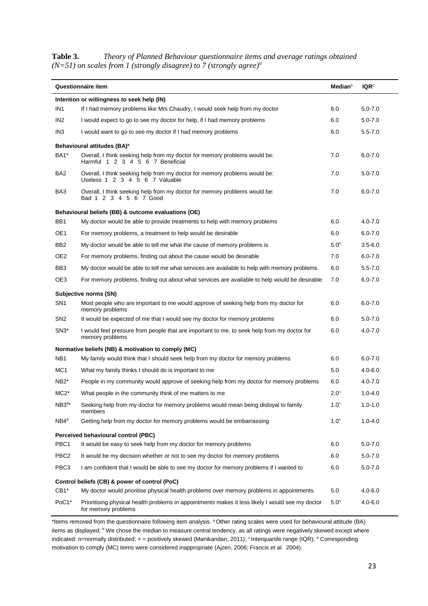**Table 3.** *Theory of Planned Behaviour questionnaire items and average ratings obtained (N=51) on scales from 1 (strongly disagree) to 7 (strongly agree)<sup>a</sup>*

| <b>Questionnaire item</b>                     | <b>Median</b> <sup>b</sup>                                                                                              | IQR <sup>c</sup> |             |  |  |
|-----------------------------------------------|-------------------------------------------------------------------------------------------------------------------------|------------------|-------------|--|--|
| Intention or willingness to seek help (IN)    |                                                                                                                         |                  |             |  |  |
| IN <sub>1</sub>                               | If I had memory problems like Mrs Chaudry, I would seek help from my doctor                                             | 6.0              | $5.0 - 7.0$ |  |  |
| IN <sub>2</sub>                               | I would expect to go to see my doctor for help, if I had memory problems                                                | 6.0              | $5.0 - 7.0$ |  |  |
| IN <sub>3</sub>                               | I would want to go to see my doctor if I had memory problems                                                            | 6.0              | $5.5 - 7.0$ |  |  |
|                                               | Behavioural attitudes (BA) <sup>a</sup>                                                                                 |                  |             |  |  |
| BA1*                                          | Overall, I think seeking help from my doctor for memory problems would be:<br>Harmful 1 2 3 4 5 6 7 Beneficial          | 7.0              | $6.0 - 7.0$ |  |  |
| BA <sub>2</sub>                               | Overall, I think seeking help from my doctor for memory problems would be:<br>Useless 1 2 3 4 5 6 7 Valuable            | 7.0              | $5.0 - 7.0$ |  |  |
| BA3                                           | Overall, I think seeking help from my doctor for memory problems would be:<br>Bad 1 2 3 4 5 6 7 Good                    | 7.0              | $6.0 - 7.0$ |  |  |
|                                               | Behavioural beliefs (BB) & outcome evaluations (OE)                                                                     |                  |             |  |  |
| BB1                                           | My doctor would be able to provide treatments to help with memory problems                                              | 6.0              | $4.0 - 7.0$ |  |  |
| OE1                                           | For memory problems, a treatment to help would be desirable                                                             | 6.0              | $6.0 - 7.0$ |  |  |
| BB <sub>2</sub>                               | My doctor would be able to tell me what the cause of memory problems is                                                 | 5.0 <sup>n</sup> | $3.5 - 6.0$ |  |  |
| OE <sub>2</sub>                               | For memory problems, finding out about the cause would be desirable                                                     | 7.0              | $6.0 - 7.0$ |  |  |
| BB <sub>3</sub>                               | My doctor would be able to tell me what services are available to help with memory problems                             | 6.0              | $5.5 - 7.0$ |  |  |
| OE3                                           | For memory problems, finding out about what services are available to help would be desirable                           | 7.0              | $6.0 - 7.0$ |  |  |
|                                               | Subjective norms (SN)                                                                                                   |                  |             |  |  |
| SN <sub>1</sub>                               | Most people who are important to me would approve of seeking help from my doctor for<br>memory problems                 | 6.0              | $6.0 - 7.0$ |  |  |
| SN <sub>2</sub>                               | It would be expected of me that I would see my doctor for memory problems                                               | 6.0              | $5.0 - 7.0$ |  |  |
| $SN3*$                                        | I would feel pressure from people that are important to me, to seek help from my doctor for<br>memory problems          | 6.0              | $4.0 - 7.0$ |  |  |
|                                               | Normative beliefs (NB) & motivation to comply (MC)                                                                      |                  |             |  |  |
| NB <sub>1</sub>                               | My family would think that I should seek help from my doctor for memory problems                                        | 6.0              | $6.0 - 7.0$ |  |  |
| MC <sub>1</sub>                               | What my family thinks I should do is important to me                                                                    | 5.0              | $4.0 - 6.0$ |  |  |
| NB <sub>2</sub> *                             | People in my community would approve of seeking help from my doctor for memory problems                                 | 6.0              | $4.0 - 7.0$ |  |  |
| $MC2*$                                        | What people in the community think of me matters to me                                                                  | $2.0^{+}$        | $1.0 - 4.0$ |  |  |
| $NB3^{d*}$                                    | Seeking help from my doctor for memory problems would mean being disloyal to family<br>members                          | $1.0^{+}$        | $1.0 - 1.0$ |  |  |
| $NB4^d$                                       | Getting help from my doctor for memory problems would be embarrassing                                                   | $1.0^{+}$        | $1.0 - 4.0$ |  |  |
| Perceived behavioural control (PBC)           |                                                                                                                         |                  |             |  |  |
| PBC <sub>1</sub>                              | It would be easy to seek help from my doctor for memory problems                                                        | 6.0              | $5.0 - 7.0$ |  |  |
| PBC <sub>2</sub>                              | It would be my decision whether or not to see my doctor for memory problems                                             | 6.0              | $5.0 - 7.0$ |  |  |
| PBC3                                          | I am confident that I would be able to see my doctor for memory problems if I wanted to                                 | 6.0              | $5.0 - 7.0$ |  |  |
| Control beliefs (CB) & power of control (PoC) |                                                                                                                         |                  |             |  |  |
| $CB1*$                                        | My doctor would prioritise physical health problems over memory problems in appointments                                | 5.0              | $4.0 - 6.0$ |  |  |
| PoC1*                                         | Prioritising physical health problems in appointments makes it less likely I would see my doctor<br>for memory problems | 5.0 <sup>n</sup> | $4.0 - 6.0$ |  |  |

\*Items removed from the questionnaire following item analysis. <sup>a</sup> Other rating scales were used for behavioural attitude (BA) items as displayed; <sup>b</sup> We chose the median to measure central tendency, as all ratings were negatively skewed except where indicated: n=normally distributed; + = positively skewed (Manikandan, 2011); <sup>c</sup> Interquartile range (IQR); <sup>d</sup> Corresponding motivation to comply (MC) items were considered inappropriate (Ajzen, 2006; Francis *et al.* 2004).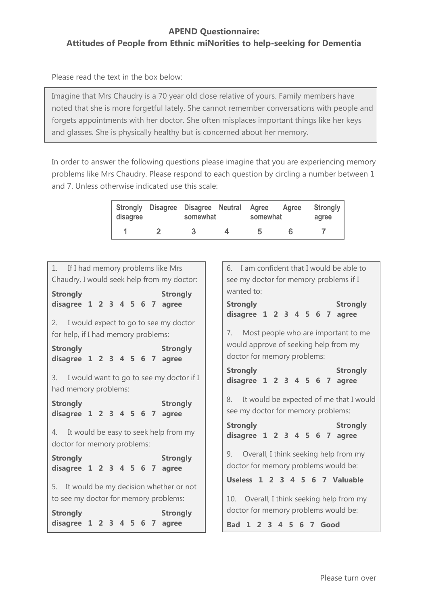# **APEND Questionnaire: Attitudes of People from Ethnic miNorities to help-seeking for Dementia**

Please read the text in the box below:

Imagine that Mrs Chaudry is a 70 year old close relative of yours. Family members have noted that she is more forgetful lately. She cannot remember conversations with people and forgets appointments with her doctor. She often misplaces important things like her keys and glasses. She is physically healthy but is concerned about her memory.

In order to answer the following questions please imagine that you are experiencing memory problems like Mrs Chaudry. Please respond to each question by circling a number between 1 and 7. Unless otherwise indicated use this scale:

| disagree | Strongly Disagree Disagree Neutral | somewhat | Agree<br>somewhat | Agree | <b>Strongly</b><br>agree |
|----------|------------------------------------|----------|-------------------|-------|--------------------------|
|          |                                    |          | ħ                 |       |                          |

| 1. If I had memory problems like Mrs<br>Chaudry, I would seek help from my doctor: | 6. I am confident that I would be able to<br>see my doctor for memory problems if I |  |  |
|------------------------------------------------------------------------------------|-------------------------------------------------------------------------------------|--|--|
| <b>Strongly</b><br><b>Strongly</b>                                                 | wanted to:                                                                          |  |  |
| disagree 1 2 3 4 5 6 7 agree                                                       | <b>Strongly</b><br><b>Strongly</b><br>disagree 1 2 3 4 5 6 7 agree                  |  |  |
| 2. I would expect to go to see my doctor                                           |                                                                                     |  |  |
| for help, if I had memory problems:                                                | 7. Most people who are important to me                                              |  |  |
| <b>Strongly</b><br><b>Strongly</b><br>disagree 1 2 3 4 5 6 7 agree                 | would approve of seeking help from my<br>doctor for memory problems:                |  |  |
| I would want to go to see my doctor if I<br>3.<br>had memory problems:             | <b>Strongly</b><br><b>Strongly</b><br>disagree 1 2 3 4 5 6 7 agree                  |  |  |
| <b>Strongly</b><br><b>Strongly</b><br>disagree 1 2 3 4 5 6 7 agree                 | 8. It would be expected of me that I would<br>see my doctor for memory problems:    |  |  |
| 4. It would be easy to seek help from my<br>doctor for memory problems:            | <b>Strongly</b><br><b>Strongly</b><br>disagree 1 2 3 4 5 6 7 agree                  |  |  |
| <b>Strongly</b><br><b>Strongly</b><br>disagree $1 \t2 \t3 \t4 \t5 \t6 \t7 \t3 \t4$ | 9. Overall, I think seeking help from my<br>doctor for memory problems would be:    |  |  |
| 5. It would be my decision whether or not                                          | Useless 1 2 3 4 5 6 7 Valuable                                                      |  |  |
| to see my doctor for memory problems:                                              | 10. Overall, I think seeking help from my                                           |  |  |
| <b>Strongly</b><br><b>Strongly</b>                                                 | doctor for memory problems would be:                                                |  |  |
| 1 2 3 4 5 6 7<br>disagree<br>agree                                                 | $\overline{\mathbf{3}}$<br>4 5 6 7 Good<br><b>Bad</b><br>2                          |  |  |